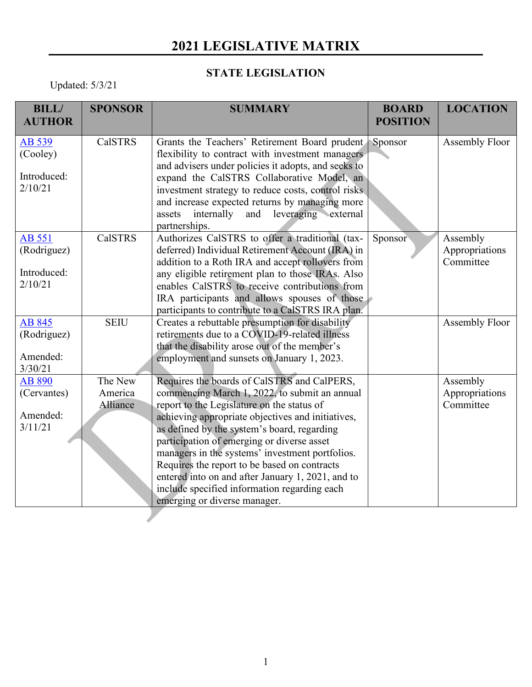## **2021 LEGISLATIVE MATRIX**

## **STATE LEGISLATION**

Updated: 5/3/21

| <b>BILL/</b>  | <b>SPONSOR</b> | <b>SUMMARY</b>                                                                                    | <b>BOARD</b>    | <b>LOCATION</b> |
|---------------|----------------|---------------------------------------------------------------------------------------------------|-----------------|-----------------|
| <b>AUTHOR</b> |                |                                                                                                   | <b>POSITION</b> |                 |
| AB 539        | <b>CalSTRS</b> | Grants the Teachers' Retirement Board prudent                                                     | Sponsor         | Assembly Floor  |
| (Cooley)      |                | flexibility to contract with investment managers                                                  |                 |                 |
|               |                | and advisers under policies it adopts, and seeks to                                               |                 |                 |
| Introduced:   |                | expand the CalSTRS Collaborative Model, an                                                        |                 |                 |
| 2/10/21       |                | investment strategy to reduce costs, control risks                                                |                 |                 |
|               |                | and increase expected returns by managing more                                                    |                 |                 |
|               |                | leveraging external<br>internally<br>and<br>assets                                                |                 |                 |
|               |                | partnerships.                                                                                     |                 |                 |
| AB 551        | <b>CalSTRS</b> | Authorizes CalSTRS to offer a traditional (tax-                                                   | Sponsor         | Assembly        |
| (Rodriguez)   |                | deferred) Individual Retirement Account (IRA) in                                                  |                 | Appropriations  |
| Introduced:   |                | addition to a Roth IRA and accept rollovers from                                                  |                 | Committee       |
| 2/10/21       |                | any eligible retirement plan to those IRAs. Also<br>enables CalSTRS to receive contributions from |                 |                 |
|               |                | IRA participants and allows spouses of those                                                      |                 |                 |
|               |                | participants to contribute to a CalSTRS IRA plan.                                                 |                 |                 |
| AB 845        | <b>SEIU</b>    | Creates a rebuttable presumption for disability                                                   |                 | Assembly Floor  |
| (Rodriguez)   |                | retirements due to a COVID-19-related illness                                                     |                 |                 |
|               |                | that the disability arose out of the member's                                                     |                 |                 |
| Amended:      |                | employment and sunsets on January 1, 2023.                                                        |                 |                 |
| 3/30/21       |                |                                                                                                   |                 |                 |
| AB 890        | The New        | Requires the boards of CalSTRS and CalPERS,                                                       |                 | Assembly        |
| (Cervantes)   | America        | commencing March 1, 2022, to submit an annual                                                     |                 | Appropriations  |
|               | Alliance       | report to the Legislature on the status of                                                        |                 | Committee       |
| Amended:      |                | achieving appropriate objectives and initiatives,                                                 |                 |                 |
| 3/11/21       |                | as defined by the system's board, regarding                                                       |                 |                 |
|               |                | participation of emerging or diverse asset                                                        |                 |                 |
|               |                | managers in the systems' investment portfolios.                                                   |                 |                 |
|               |                | Requires the report to be based on contracts                                                      |                 |                 |
|               |                | entered into on and after January 1, 2021, and to                                                 |                 |                 |
|               |                | include specified information regarding each                                                      |                 |                 |
|               |                | emerging or diverse manager.                                                                      |                 |                 |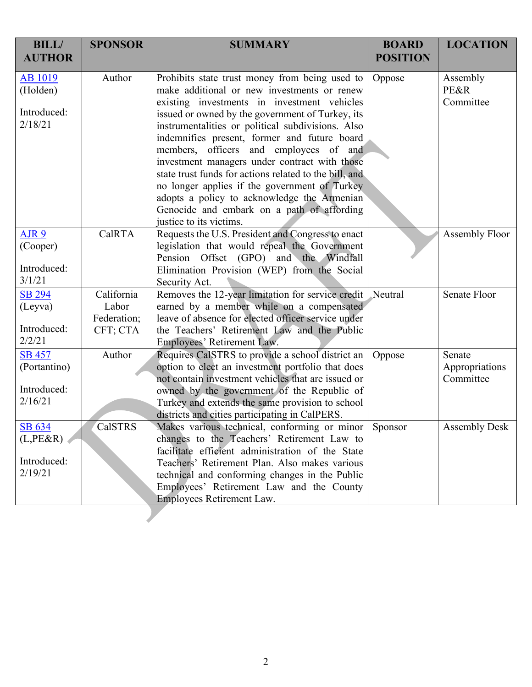| <b>BILL/</b><br><b>AUTHOR</b> | <b>SPONSOR</b>          | <b>SUMMARY</b>                                                                                  | <b>BOARD</b><br><b>POSITION</b> | <b>LOCATION</b>             |
|-------------------------------|-------------------------|-------------------------------------------------------------------------------------------------|---------------------------------|-----------------------------|
| <b>AB</b> 1019<br>(Holden)    | Author                  | Prohibits state trust money from being used to<br>make additional or new investments or renew   | Oppose                          | Assembly<br><b>PE&amp;R</b> |
|                               |                         | existing investments in investment vehicles                                                     |                                 | Committee                   |
| Introduced:                   |                         | issued or owned by the government of Turkey, its                                                |                                 |                             |
| 2/18/21                       |                         | instrumentalities or political subdivisions. Also                                               |                                 |                             |
|                               |                         | indemnifies present, former and future board                                                    |                                 |                             |
|                               |                         | members, officers and employees of and                                                          |                                 |                             |
|                               |                         | investment managers under contract with those                                                   |                                 |                             |
|                               |                         | state trust funds for actions related to the bill, and                                          |                                 |                             |
|                               |                         | no longer applies if the government of Turkey                                                   |                                 |                             |
|                               |                         | adopts a policy to acknowledge the Armenian                                                     |                                 |                             |
|                               |                         | Genocide and embark on a path of affording                                                      |                                 |                             |
|                               |                         | justice to its victims.                                                                         |                                 |                             |
| AJR <sub>9</sub>              | CalRTA                  | Requests the U.S. President and Congress to enact                                               |                                 | Assembly Floor              |
| (Cooper)                      |                         | legislation that would repeal the Government                                                    |                                 |                             |
|                               |                         | Pension Offset (GPO) and the Windfall                                                           |                                 |                             |
| Introduced:                   |                         | Elimination Provision (WEP) from the Social                                                     |                                 |                             |
| 3/1/21                        |                         | Security Act.                                                                                   |                                 |                             |
| <b>SB 294</b>                 | California              | Removes the 12-year limitation for service credit                                               | Neutral                         | Senate Floor                |
| (Leyva)                       | Labor                   | earned by a member while on a compensated<br>leave of absence for elected officer service under |                                 |                             |
| Introduced:                   | Federation;<br>CFT; CTA | the Teachers' Retirement Law and the Public                                                     |                                 |                             |
| 2/2/21                        |                         | Employees' Retirement Law.                                                                      |                                 |                             |
| <b>SB 457</b>                 | Author                  | Requires CalSTRS to provide a school district an                                                | Oppose                          | Senate                      |
| (Portantino)                  |                         | option to elect an investment portfolio that does                                               |                                 | Appropriations              |
|                               |                         | not contain investment vehicles that are issued or                                              |                                 | Committee                   |
| Introduced:                   |                         | owned by the government of the Republic of                                                      |                                 |                             |
| 2/16/21                       |                         | Turkey and extends the same provision to school                                                 |                                 |                             |
|                               |                         | districts and cities participating in CalPERS.                                                  |                                 |                             |
| SB 634                        | CalSTRS                 | Makes various technical, conforming or minor                                                    | Sponsor                         | <b>Assembly Desk</b>        |
| $(L,PE\&R)$                   |                         | changes to the Teachers' Retirement Law to                                                      |                                 |                             |
|                               |                         | facilitate efficient administration of the State                                                |                                 |                             |
| Introduced:                   |                         | Teachers' Retirement Plan. Also makes various                                                   |                                 |                             |
| 2/19/21                       |                         | technical and conforming changes in the Public                                                  |                                 |                             |
|                               |                         | Employees' Retirement Law and the County                                                        |                                 |                             |
|                               |                         | Employees Retirement Law.                                                                       |                                 |                             |
|                               |                         |                                                                                                 |                                 |                             |